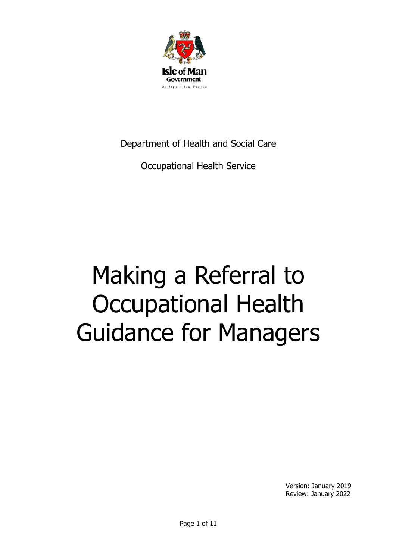

Department of Health and Social Care

Occupational Health Service

# Making a Referral to Occupational Health Guidance for Managers

Version: January 2019 Review: January 2022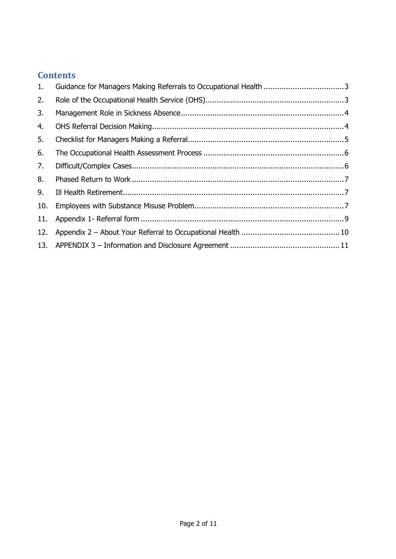# **Contents**

| 1.  |  |
|-----|--|
| 2.  |  |
| 3.  |  |
| 4.  |  |
| 5.  |  |
| 6.  |  |
| 7.  |  |
| 8.  |  |
| 9.  |  |
| 10. |  |
| 11. |  |
| 12. |  |
| 13. |  |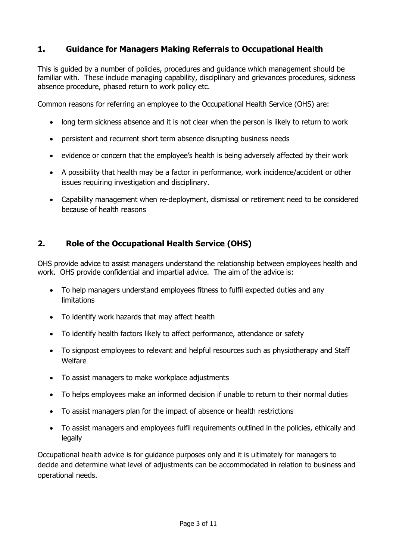# <span id="page-2-0"></span>**1. Guidance for Managers Making Referrals to Occupational Health**

This is guided by a number of policies, procedures and guidance which management should be familiar with. These include managing capability, disciplinary and grievances procedures, sickness absence procedure, phased return to work policy etc.

Common reasons for referring an employee to the Occupational Health Service (OHS) are:

- long term sickness absence and it is not clear when the person is likely to return to work
- persistent and recurrent short term absence disrupting business needs
- evidence or concern that the employee's health is being adversely affected by their work
- A possibility that health may be a factor in performance, work incidence/accident or other issues requiring investigation and disciplinary.
- Capability management when re-deployment, dismissal or retirement need to be considered because of health reasons

# <span id="page-2-1"></span>**2. Role of the Occupational Health Service (OHS)**

OHS provide advice to assist managers understand the relationship between employees health and work. OHS provide confidential and impartial advice. The aim of the advice is:

- To help managers understand employees fitness to fulfil expected duties and any limitations
- To identify work hazards that may affect health
- To identify health factors likely to affect performance, attendance or safety
- To signpost employees to relevant and helpful resources such as physiotherapy and Staff Welfare
- To assist managers to make workplace adjustments
- To helps employees make an informed decision if unable to return to their normal duties
- To assist managers plan for the impact of absence or health restrictions
- To assist managers and employees fulfil requirements outlined in the policies, ethically and legally

Occupational health advice is for guidance purposes only and it is ultimately for managers to decide and determine what level of adjustments can be accommodated in relation to business and operational needs.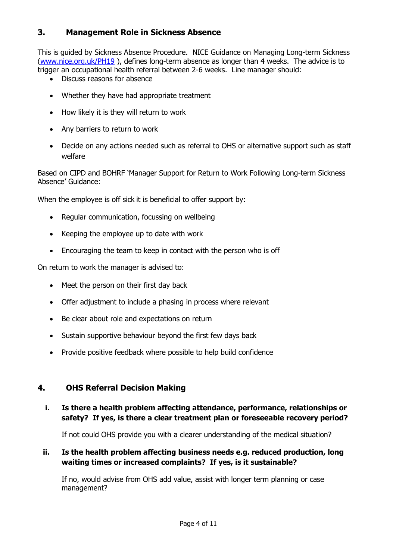# <span id="page-3-0"></span>**3. Management Role in Sickness Absence**

This is guided by Sickness Absence Procedure. NICE Guidance on Managing Long-term Sickness [\(www.nice.org.uk/PH19](http://www.nice.org.uk/PH19) ), defines long-term absence as longer than 4 weeks. The advice is to trigger an occupational health referral between 2-6 weeks. Line manager should:

- Discuss reasons for absence
- Whether they have had appropriate treatment
- How likely it is they will return to work
- Any barriers to return to work
- Decide on any actions needed such as referral to OHS or alternative support such as staff welfare

Based on CIPD and BOHRF 'Manager Support for Return to Work Following Long-term Sickness Absence' Guidance:

When the employee is off sick it is beneficial to offer support by:

- Regular communication, focussing on wellbeing
- Keeping the employee up to date with work
- Encouraging the team to keep in contact with the person who is off

On return to work the manager is advised to:

- Meet the person on their first day back
- Offer adjustment to include a phasing in process where relevant
- Be clear about role and expectations on return
- Sustain supportive behaviour beyond the first few days back
- Provide positive feedback where possible to help build confidence

## <span id="page-3-1"></span>**4. OHS Referral Decision Making**

**i. Is there a health problem affecting attendance, performance, relationships or safety? If yes, is there a clear treatment plan or foreseeable recovery period?**

If not could OHS provide you with a clearer understanding of the medical situation?

## **ii. Is the health problem affecting business needs e.g. reduced production, long waiting times or increased complaints? If yes, is it sustainable?**

If no, would advise from OHS add value, assist with longer term planning or case management?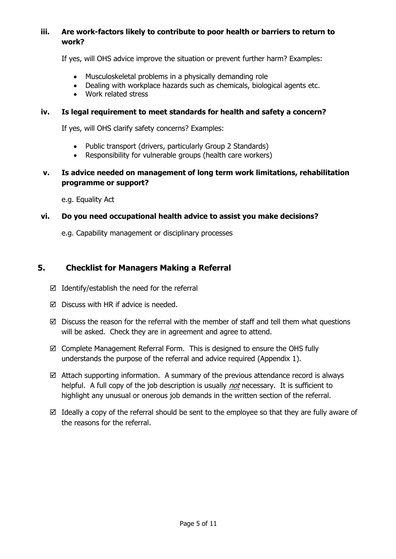## **iii. Are work-factors likely to contribute to poor health or barriers to return to work?**

If yes, will OHS advice improve the situation or prevent further harm? Examples:

- Musculoskeletal problems in a physically demanding role
- Dealing with workplace hazards such as chemicals, biological agents etc.
- Work related stress

## **iv. Is legal requirement to meet standards for health and safety a concern?**

If yes, will OHS clarify safety concerns? Examples:

- Public transport (drivers, particularly Group 2 Standards)
- Responsibility for vulnerable groups (health care workers)

## **v. Is advice needed on management of long term work limitations, rehabilitation programme or support?**

e.g. Equality Act

## **vi. Do you need occupational health advice to assist you make decisions?**

e.g. Capability management or disciplinary processes

## <span id="page-4-0"></span>**5. Checklist for Managers Making a Referral**

- $\boxtimes$  Identify/establish the need for the referral
- $\boxtimes$  Discuss with HR if advice is needed.
- $\boxtimes$  Discuss the reason for the referral with the member of staff and tell them what questions will be asked. Check they are in agreement and agree to attend.
- $\boxtimes$  Complete Management Referral Form. This is designed to ensure the OHS fully understands the purpose of the referral and advice required (Appendix 1).
- $\boxtimes$  Attach supporting information. A summary of the previous attendance record is always helpful. A full copy of the job description is usually *not* necessary. It is sufficient to highlight any unusual or onerous job demands in the written section of the referral.
- $\boxtimes$  Ideally a copy of the referral should be sent to the employee so that they are fully aware of the reasons for the referral.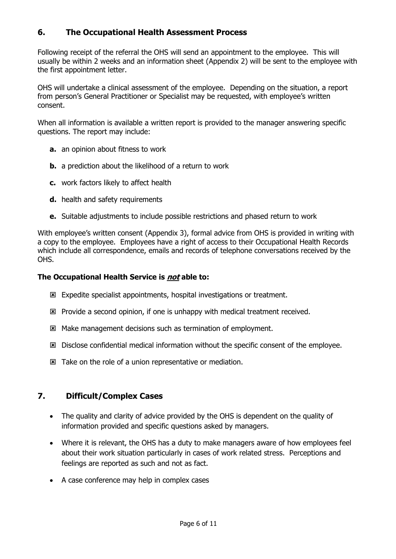# <span id="page-5-0"></span>**6. The Occupational Health Assessment Process**

Following receipt of the referral the OHS will send an appointment to the employee. This will usually be within 2 weeks and an information sheet (Appendix 2) will be sent to the employee with the first appointment letter.

OHS will undertake a clinical assessment of the employee. Depending on the situation, a report from person's General Practitioner or Specialist may be requested, with employee's written consent.

When all information is available a written report is provided to the manager answering specific questions. The report may include:

- **a.** an opinion about fitness to work
- **b.** a prediction about the likelihood of a return to work
- **c.** work factors likely to affect health
- **d.** health and safety requirements
- **e.** Suitable adjustments to include possible restrictions and phased return to work

With employee's written consent (Appendix 3), formal advice from OHS is provided in writing with a copy to the employee. Employees have a right of access to their Occupational Health Records which include all correspondence, emails and records of telephone conversations received by the OHS.

## **The Occupational Health Service is not able to:**

- Expedite specialist appointments, hospital investigations or treatment.
- Provide a second opinion, if one is unhappy with medical treatment received.
- Make management decisions such as termination of employment.
- **E** Disclose confidential medical information without the specific consent of the employee.
- $\boxtimes$  Take on the role of a union representative or mediation.

# <span id="page-5-1"></span>**7. Difficult/Complex Cases**

- The quality and clarity of advice provided by the OHS is dependent on the quality of information provided and specific questions asked by managers.
- Where it is relevant, the OHS has a duty to make managers aware of how employees feel about their work situation particularly in cases of work related stress. Perceptions and feelings are reported as such and not as fact.
- A case conference may help in complex cases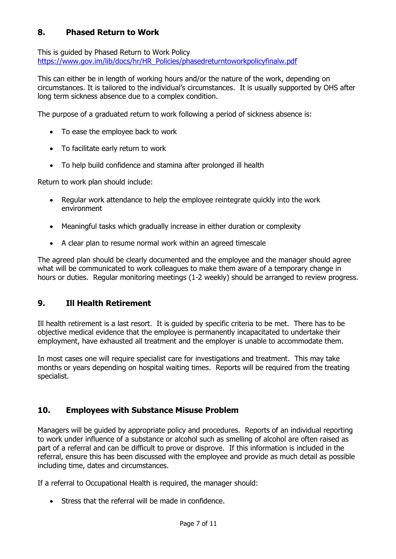# <span id="page-6-0"></span>**8. Phased Return to Work**

This is guided by Phased Return to Work Policy [https://www.gov.im/lib/docs/hr/HR\\_Policies/phasedreturntoworkpolicyfinalw.pdf](https://www.gov.im/lib/docs/hr/HR_Policies/phasedreturntoworkpolicyfinalw.pdf)

This can either be in length of working hours and/or the nature of the work, depending on circumstances. It is tailored to the individual's circumstances. It is usually supported by OHS after long term sickness absence due to a complex condition.

The purpose of a graduated return to work following a period of sickness absence is:

- To ease the employee back to work
- To facilitate early return to work
- To help build confidence and stamina after prolonged ill health

Return to work plan should include:

- Regular work attendance to help the employee reintegrate quickly into the work environment
- Meaningful tasks which gradually increase in either duration or complexity
- A clear plan to resume normal work within an agreed timescale

The agreed plan should be clearly documented and the employee and the manager should agree what will be communicated to work colleagues to make them aware of a temporary change in hours or duties. Regular monitoring meetings (1-2 weekly) should be arranged to review progress.

## <span id="page-6-1"></span>**9. Ill Health Retirement**

Ill health retirement is a last resort. It is guided by specific criteria to be met. There has to be objective medical evidence that the employee is permanently incapacitated to undertake their employment, have exhausted all treatment and the employer is unable to accommodate them.

In most cases one will require specialist care for investigations and treatment. This may take months or years depending on hospital waiting times. Reports will be required from the treating specialist.

## <span id="page-6-2"></span>**10. Employees with Substance Misuse Problem**

Managers will be guided by appropriate policy and procedures. Reports of an individual reporting to work under influence of a substance or alcohol such as smelling of alcohol are often raised as part of a referral and can be difficult to prove or disprove. If this information is included in the referral, ensure this has been discussed with the employee and provide as much detail as possible including time, dates and circumstances.

If a referral to Occupational Health is required, the manager should:

Stress that the referral will be made in confidence.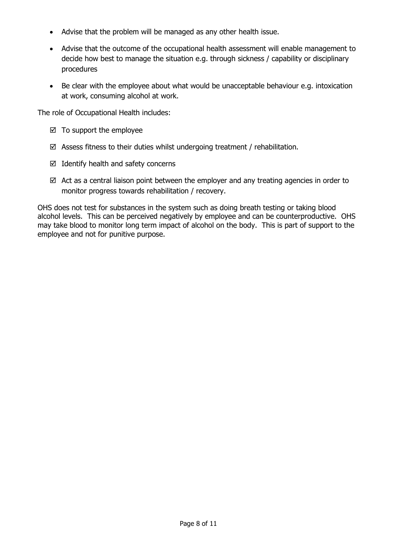- Advise that the problem will be managed as any other health issue.
- Advise that the outcome of the occupational health assessment will enable management to decide how best to manage the situation e.g. through sickness / capability or disciplinary procedures
- Be clear with the employee about what would be unacceptable behaviour e.g. intoxication at work, consuming alcohol at work.

The role of Occupational Health includes:

- $\boxtimes$  To support the employee
- $\boxtimes$  Assess fitness to their duties whilst undergoing treatment / rehabilitation.
- $\boxtimes$  Identify health and safety concerns
- $\boxtimes$  Act as a central liaison point between the employer and any treating agencies in order to monitor progress towards rehabilitation / recovery.

OHS does not test for substances in the system such as doing breath testing or taking blood alcohol levels. This can be perceived negatively by employee and can be counterproductive. OHS may take blood to monitor long term impact of alcohol on the body. This is part of support to the employee and not for punitive purpose.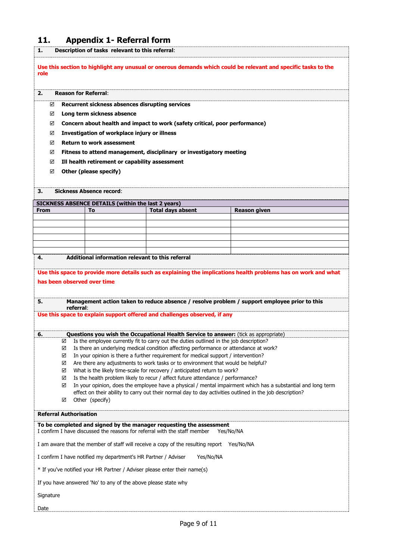# <span id="page-8-0"></span>**11. Appendix 1- Referral form**

| Description of tasks relevant to this referral:<br>1.                                                                                                         |                                                                                                                                                                                                                               |                 |                          |                                                                                                                 |  |  |  |
|---------------------------------------------------------------------------------------------------------------------------------------------------------------|-------------------------------------------------------------------------------------------------------------------------------------------------------------------------------------------------------------------------------|-----------------|--------------------------|-----------------------------------------------------------------------------------------------------------------|--|--|--|
| Use this section to highlight any unusual or onerous demands which could be relevant and specific tasks to the<br>role                                        |                                                                                                                                                                                                                               |                 |                          |                                                                                                                 |  |  |  |
| <b>Reason for Referral:</b><br>2.                                                                                                                             |                                                                                                                                                                                                                               |                 |                          |                                                                                                                 |  |  |  |
|                                                                                                                                                               | Recurrent sickness absences disrupting services<br>☑                                                                                                                                                                          |                 |                          |                                                                                                                 |  |  |  |
| ☑                                                                                                                                                             | Long term sickness absence                                                                                                                                                                                                    |                 |                          |                                                                                                                 |  |  |  |
| ☑                                                                                                                                                             | Concern about health and impact to work (safety critical, poor performance)<br>☑<br>Investigation of workplace injury or illness                                                                                              |                 |                          |                                                                                                                 |  |  |  |
|                                                                                                                                                               | <b>Return to work assessment</b><br>☑                                                                                                                                                                                         |                 |                          |                                                                                                                 |  |  |  |
|                                                                                                                                                               | Fitness to attend management, disciplinary or investigatory meeting<br>☑                                                                                                                                                      |                 |                          |                                                                                                                 |  |  |  |
| ☑                                                                                                                                                             | Ill health retirement or capability assessment                                                                                                                                                                                |                 |                          |                                                                                                                 |  |  |  |
|                                                                                                                                                               | Other (please specify)<br>☑                                                                                                                                                                                                   |                 |                          |                                                                                                                 |  |  |  |
| 3.                                                                                                                                                            | <b>Sickness Absence record:</b>                                                                                                                                                                                               |                 |                          |                                                                                                                 |  |  |  |
| <b>SICKNESS ABSENCE DETAILS (within the last 2 years)</b>                                                                                                     |                                                                                                                                                                                                                               |                 |                          |                                                                                                                 |  |  |  |
| <b>From</b>                                                                                                                                                   |                                                                                                                                                                                                                               | To              | <b>Total days absent</b> | <b>Reason given</b>                                                                                             |  |  |  |
|                                                                                                                                                               |                                                                                                                                                                                                                               |                 |                          |                                                                                                                 |  |  |  |
|                                                                                                                                                               |                                                                                                                                                                                                                               |                 |                          |                                                                                                                 |  |  |  |
|                                                                                                                                                               |                                                                                                                                                                                                                               |                 |                          |                                                                                                                 |  |  |  |
| 4.                                                                                                                                                            | Additional information relevant to this referral                                                                                                                                                                              |                 |                          |                                                                                                                 |  |  |  |
|                                                                                                                                                               |                                                                                                                                                                                                                               |                 |                          | Use this space to provide more details such as explaining the implications health problems has on work and what |  |  |  |
| has been observed over time                                                                                                                                   |                                                                                                                                                                                                                               |                 |                          |                                                                                                                 |  |  |  |
|                                                                                                                                                               |                                                                                                                                                                                                                               |                 |                          |                                                                                                                 |  |  |  |
| 5.                                                                                                                                                            | referral:                                                                                                                                                                                                                     |                 |                          | Management action taken to reduce absence / resolve problem / support employee prior to this                    |  |  |  |
| Use this space to explain support offered and challenges observed, if any                                                                                     |                                                                                                                                                                                                                               |                 |                          |                                                                                                                 |  |  |  |
| 6.                                                                                                                                                            | Questions you wish the Occupational Health Service to answer: (tick as appropriate)                                                                                                                                           |                 |                          |                                                                                                                 |  |  |  |
|                                                                                                                                                               | Is the employee currently fit to carry out the duties outlined in the job description?<br>☑<br>Is there an underlying medical condition affecting performance or attendance at work?<br>☑                                     |                 |                          |                                                                                                                 |  |  |  |
|                                                                                                                                                               | In your opinion is there a further requirement for medical support / intervention?<br>☑                                                                                                                                       |                 |                          |                                                                                                                 |  |  |  |
|                                                                                                                                                               | Are there any adjustments to work tasks or to environment that would be helpful?<br>☑<br>What is the likely time-scale for recovery / anticipated return to work?<br>☑                                                        |                 |                          |                                                                                                                 |  |  |  |
|                                                                                                                                                               | Is the health problem likely to recur / affect future attendance / performance?<br>☑                                                                                                                                          |                 |                          |                                                                                                                 |  |  |  |
|                                                                                                                                                               | In your opinion, does the employee have a physical / mental impairment which has a substantial and long term<br>☑<br>effect on their ability to carry out their normal day to day activities outlined in the job description? |                 |                          |                                                                                                                 |  |  |  |
|                                                                                                                                                               | ☑                                                                                                                                                                                                                             | Other (specify) |                          |                                                                                                                 |  |  |  |
| <b>Referral Authorisation</b>                                                                                                                                 |                                                                                                                                                                                                                               |                 |                          |                                                                                                                 |  |  |  |
| To be completed and signed by the manager requesting the assessment<br>I confirm I have discussed the reasons for referral with the staff member<br>Yes/No/NA |                                                                                                                                                                                                                               |                 |                          |                                                                                                                 |  |  |  |
| I am aware that the member of staff will receive a copy of the resulting report Yes/No/NA                                                                     |                                                                                                                                                                                                                               |                 |                          |                                                                                                                 |  |  |  |
| I confirm I have notified my department's HR Partner / Adviser<br>Yes/No/NA                                                                                   |                                                                                                                                                                                                                               |                 |                          |                                                                                                                 |  |  |  |
| * If you've notified your HR Partner / Adviser please enter their name(s)                                                                                     |                                                                                                                                                                                                                               |                 |                          |                                                                                                                 |  |  |  |
| If you have answered 'No' to any of the above please state why                                                                                                |                                                                                                                                                                                                                               |                 |                          |                                                                                                                 |  |  |  |
|                                                                                                                                                               | Signature                                                                                                                                                                                                                     |                 |                          |                                                                                                                 |  |  |  |
| Date                                                                                                                                                          |                                                                                                                                                                                                                               |                 |                          |                                                                                                                 |  |  |  |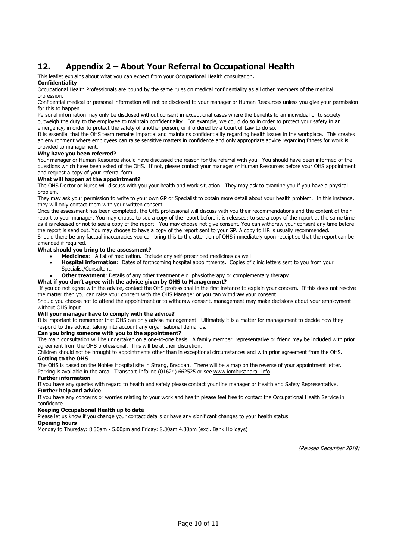# <span id="page-9-0"></span>**12. Appendix 2 – About Your Referral to Occupational Health**

This leaflet explains about what you can expect from your Occupational Health consultation**.** 

### **Confidentiality**

Occupational Health Professionals are bound by the same rules on medical confidentiality as all other members of the medical profession.

Confidential medical or personal information will not be disclosed to your manager or Human Resources unless you give your permission for this to happen.

Personal information may only be disclosed without consent in exceptional cases where the benefits to an individual or to society outweigh the duty to the employee to maintain confidentiality. For example, we could do so in order to protect your safety in an emergency, in order to protect the safety of another person, or if ordered by a Court of Law to do so.

It is essential that the OHS team remains impartial and maintains confidentiality regarding health issues in the workplace. This creates an environment where employees can raise sensitive matters in confidence and only appropriate advice regarding fitness for work is provided to management.

### **Why have you been referred?**

Your manager or Human Resource should have discussed the reason for the referral with you. You should have been informed of the questions which have been asked of the OHS. If not, please contact your manager or Human Resources before your OHS appointment and request a copy of your referral form.

## **What will happen at the appointment?**

The OHS Doctor or Nurse will discuss with you your health and work situation. They may ask to examine you if you have a physical problem.

They may ask your permission to write to your own GP or Specialist to obtain more detail about your health problem. In this instance, they will only contact them with your written consent.

Once the assessment has been completed, the OHS professional will discuss with you their recommendations and the content of their report to your manager. You may choose to see a copy of the report before it is released; to see a copy of the report at the same time as it is released or not to see a copy of the report. You may choose not give consent. You can withdraw your consent any time before the report is send out. You may choose to have a copy of the report sent to your GP. A copy to HR is usually recommended. Should there be any factual inaccuracies you can bring this to the attention of OHS immediately upon receipt so that the report can be amended if required.

#### **What should you bring to the assessment?**

- **Medicines**: A list of medication. Include any self-prescribed medicines as well
- **Hospital information**: Dates of forthcoming hospital appointments. Copies of clinic letters sent to you from your Specialist/Consultant.
- **Other treatment**: Details of any other treatment e.g. physiotherapy or complementary therapy.

#### **What if you don't agree with the advice given by OHS to Management?**

If you do not agree with the advice, contact the OHS professional in the first instance to explain your concern. If this does not resolve the matter then you can raise your concern with the OHS Manager or you can withdraw your consent.

Should you choose not to attend the appointment or to withdraw consent, management may make decisions about your employment without OHS input.

#### **Will your manager have to comply with the advice?**

It is important to remember that OHS can only advise management. Ultimately it is a matter for management to decide how they respond to this advice, taking into account any organisational demands.

#### **Can you bring someone with you to the appointment?**

The main consultation will be undertaken on a one-to-one basis. A family member, representative or friend may be included with prior agreement from the OHS professional. This will be at their discretion.

Children should not be brought to appointments other than in exceptional circumstances and with prior agreement from the OHS. **Getting to the OHS**

The OHS is based on the Nobles Hospital site in Strang, Braddan. There will be a map on the reverse of your appointment letter. Parking is available in the area. Transport Infoline (01624) 662525 or see www.iombusandrail.info.

## **Further information**

If you have any queries with regard to health and safety please contact your line manager or Health and Safety Representative. **Further help and advice**

If you have any concerns or worries relating to your work and health please feel free to contact the Occupational Health Service in confidence.

## **Keeping Occupational Health up to date**

Please let us know if you change your contact details or have any significant changes to your health status.

#### **Opening hours**

Monday to Thursday: 8.30am - 5.00pm and Friday: 8.30am 4.30pm (excl. Bank Holidays)

(Revised December 2018)